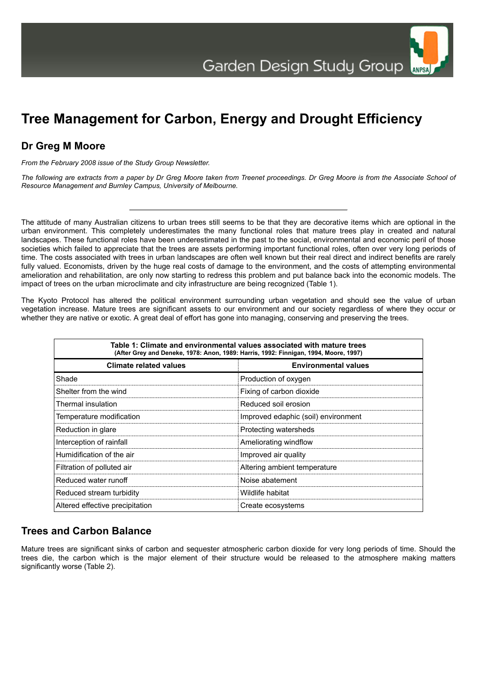ANPSA

## **Tree Management for Carbon, Energy and Drought Efficiency**

## **Dr Greg M Moore**

*From the February 2008 issue of the Study Group Newsletter.*

*The following are extracts from a paper by Dr Greg Moore taken from Treenet proceedings. Dr Greg Moore is from the Associate School of Resource Management and Burnley Campus, University of Melbourne.*

The attitude of many Australian citizens to urban trees still seems to be that they are decorative items which are optional in the urban environment. This completely underestimates the many functional roles that mature trees play in created and natural landscapes. These functional roles have been underestimated in the past to the social, environmental and economic peril of those societies which failed to appreciate that the trees are assets performing important functional roles, often over very long periods of time. The costs associated with trees in urban landscapes are often well known but their real direct and indirect benefits are rarely fully valued. Economists, driven by the huge real costs of damage to the environment, and the costs of attempting environmental amelioration and rehabilitation, are only now starting to redress this problem and put balance back into the economic models. The impact of trees on the urban microclimate and city infrastructure are being recognized (Table 1).

The Kyoto Protocol has altered the political environment surrounding urban vegetation and should see the value of urban vegetation increase. Mature trees are significant assets to our environment and our society regardless of where they occur or whether they are native or exotic. A great deal of effort has gone into managing, conserving and preserving the trees.

| Table 1: Climate and environmental values associated with mature trees<br>(After Grey and Deneke, 1978: Anon, 1989: Harris, 1992: Finnigan, 1994, Moore, 1997) |                                     |  |  |
|----------------------------------------------------------------------------------------------------------------------------------------------------------------|-------------------------------------|--|--|
| <b>Climate related values</b>                                                                                                                                  | <b>Environmental values</b>         |  |  |
| Shade                                                                                                                                                          | Production of oxygen                |  |  |
| Shelter from the wind                                                                                                                                          | Fixing of carbon dioxide            |  |  |
| Thermal insulation                                                                                                                                             | Reduced soil erosion                |  |  |
| Temperature modification                                                                                                                                       | Improved edaphic (soil) environment |  |  |
| Reduction in glare                                                                                                                                             | Protecting watersheds               |  |  |
| Interception of rainfall                                                                                                                                       | Ameliorating windflow               |  |  |
| Humidification of the air                                                                                                                                      | Improved air quality                |  |  |
| Filtration of polluted air                                                                                                                                     | Altering ambient temperature        |  |  |
| Reduced water runoff                                                                                                                                           | Noise abatement                     |  |  |
| Reduced stream turbidity                                                                                                                                       | Wildlife habitat                    |  |  |
| Altered effective precipitation                                                                                                                                | Create ecosystems                   |  |  |

## **Trees and Carbon Balance**

Mature trees are significant sinks of carbon and sequester atmospheric carbon dioxide for very long periods of time. Should the trees die, the carbon which is the major element of their structure would be released to the atmosphere making matters significantly worse (Table 2).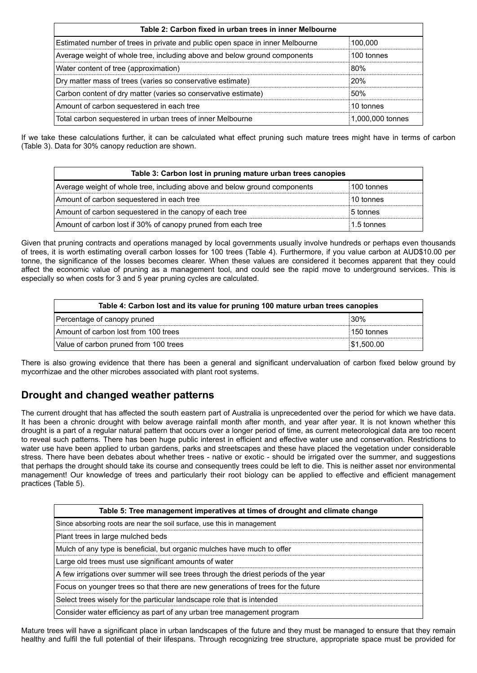| Table 2: Carbon fixed in urban trees in inner Melbourne                       |                  |  |
|-------------------------------------------------------------------------------|------------------|--|
| Estimated number of trees in private and public open space in inner Melbourne | 100.000          |  |
| Average weight of whole tree, including above and below ground components     | 100 tonnes       |  |
| Water content of tree (approximation)                                         | 80%              |  |
| Dry matter mass of trees (varies so conservative estimate)                    | <b>20%</b>       |  |
| Carbon content of dry matter (varies so conservative estimate)                | 50%              |  |
| Amount of carbon sequestered in each tree                                     | 10 tonnes        |  |
| Total carbon sequestered in urban trees of inner Melbourne                    | 1,000,000 tonnes |  |

If we take these calculations further, it can be calculated what effect pruning such mature trees might have in terms of carbon (Table 3). Data for 30% canopy reduction are shown.

| Table 3: Carbon lost in pruning mature urban trees canopies               |            |  |  |  |
|---------------------------------------------------------------------------|------------|--|--|--|
| Average weight of whole tree, including above and below ground components | 100 tonnes |  |  |  |
| Amount of carbon sequestered in each tree                                 | 10 tonnes  |  |  |  |
| Amount of carbon sequestered in the canopy of each tree                   | 5 tonnes   |  |  |  |
| Amount of carbon lost if 30% of canopy pruned from each tree              | 1.5 tonnes |  |  |  |

Given that pruning contracts and operations managed by local governments usually involve hundreds or perhaps even thousands of trees, it is worth estimating overall carbon losses for 100 trees (Table 4). Furthermore, if you value carbon at AUD\$10.00 per tonne, the significance of the losses becomes clearer. When these values are considered it becomes apparent that they could affect the economic value of pruning as a management tool, and could see the rapid move to underground services. This is especially so when costs for 3 and 5 year pruning cycles are calculated.

| Table 4: Carbon lost and its value for pruning 100 mature urban trees canopies |             |  |
|--------------------------------------------------------------------------------|-------------|--|
| Percentage of canopy pruned                                                    | 30%         |  |
| Amount of carbon lost from 100 trees                                           | ⊧150 tonnes |  |
| Value of carbon pruned from 100 trees                                          | \$1,500.00  |  |

There is also growing evidence that there has been a general and significant undervaluation of carbon fixed below ground by mycorrhizae and the other microbes associated with plant root systems.

## **Drought and changed weather patterns**

The current drought that has affected the south eastern part of Australia is unprecedented over the period for which we have data. It has been a chronic drought with below average rainfall month after month, and year after year. It is not known whether this drought is a part of a regular natural pattern that occurs over a longer period of time, as current meteorological data are too recent to reveal such patterns. There has been huge public interest in efficient and effective water use and conservation. Restrictions to water use have been applied to urban gardens, parks and streetscapes and these have placed the vegetation under considerable stress. There have been debates about whether trees - native or exotic - should be irrigated over the summer, and suggestions that perhaps the drought should take its course and consequently trees could be left to die. This is neither asset nor environmental management! Our knowledge of trees and particularly their root biology can be applied to effective and efficient management practices (Table 5).

| Table 5: Tree management imperatives at times of drought and climate change         |  |  |
|-------------------------------------------------------------------------------------|--|--|
| Since absorbing roots are near the soil surface, use this in management             |  |  |
| Plant trees in large mulched beds                                                   |  |  |
| Mulch of any type is beneficial, but organic mulches have much to offer             |  |  |
| Large old trees must use significant amounts of water                               |  |  |
| A few irrigations over summer will see trees through the driest periods of the year |  |  |
| Focus on younger trees so that there are new generations of trees for the future    |  |  |
| Select trees wisely for the particular landscape role that is intended              |  |  |
| Consider water efficiency as part of any urban tree management program              |  |  |

Mature trees will have a significant place in urban landscapes of the future and they must be managed to ensure that they remain healthy and fulfil the full potential of their lifespans. Through recognizing tree structure, appropriate space must be provided for